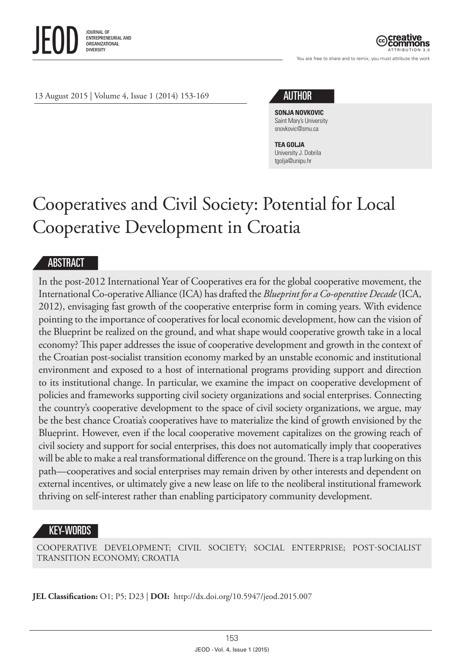

ATTRIBUTION 3.0

You are free to share and to remix, you must attribute the work



**SONJA NOVKOVIC** Saint Mary's University [snovkovic@smu.ca](mailto:snovkovic@smu.ca)

**TEA GOLJA** University J. Dobrila [tgolja@unipu.hr](mailto:tgolja@unipu.hr)

# Cooperatives and Civil Society: Potential for Local Cooperative Development in Croatia

#### ABSTRACT

In the post-2012 International Year of Cooperatives era for the global cooperative movement, the International Co-operative Alliance (ICA) has drafted the *Blueprint for a Co-operative Decade* (ICA, 2012), envisaging fast growth of the cooperative enterprise form in coming years. With evidence pointing to the importance of cooperatives for local economic development, how can the vision of the Blueprint be realized on the ground, and what shape would cooperative growth take in a local economy? This paper addresses the issue of cooperative development and growth in the context of the Croatian post-socialist transition economy marked by an unstable economic and institutional environment and exposed to a host of international programs providing support and direction to its institutional change. In particular, we examine the impact on cooperative development of policies and frameworks supporting civil society organizations and social enterprises. Connecting the country's cooperative development to the space of civil society organizations, we argue, may be the best chance Croatia's cooperatives have to materialize the kind of growth envisioned by the Blueprint. However, even if the local cooperative movement capitalizes on the growing reach of civil society and support for social enterprises, this does not automatically imply that cooperatives will be able to make a real transformational difference on the ground. There is a trap lurking on this path—cooperatives and social enterprises may remain driven by other interests and dependent on external incentives, or ultimately give a new lease on life to the neoliberal institutional framework thriving on self-interest rather than enabling participatory community development.

### KEY-WORDS

COOPERATIVE DEVELOPMENT; CIVIL SOCIETY; SOCIAL ENTERPRISE; POST-SOCIALIST TRANSITION ECONOMY; CROATIA

**JEL Classification:** O1; P5; D23 | **DOI:** [http://dx.doi.org/10.5947/jeod.2015.007](http://dx.doi.org/10.5947/jeod.2015.002)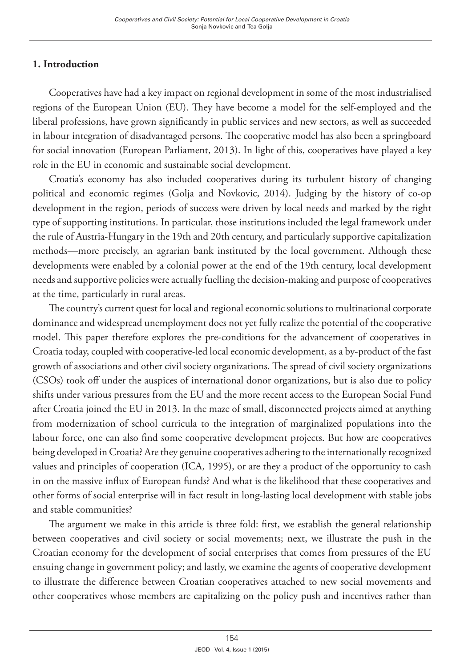# **1. Introduction**

Cooperatives have had a key impact on regional development in some of the most industrialised regions of the European Union (EU). They have become a model for the self-employed and the liberal professions, have grown significantly in public services and new sectors, as well as succeeded in labour integration of disadvantaged persons. The cooperative model has also been a springboard for social innovation (European Parliament, 2013). In light of this, cooperatives have played a key role in the EU in economic and sustainable social development.

Croatia's economy has also included cooperatives during its turbulent history of changing political and economic regimes (Golja and Novkovic, 2014). Judging by the history of co-op development in the region, periods of success were driven by local needs and marked by the right type of supporting institutions. In particular, those institutions included the legal framework under the rule of Austria-Hungary in the 19th and 20th century, and particularly supportive capitalization methods—more precisely, an agrarian bank instituted by the local government. Although these developments were enabled by a colonial power at the end of the 19th century, local development needs and supportive policies were actually fuelling the decision-making and purpose of cooperatives at the time, particularly in rural areas.

The country's current quest for local and regional economic solutions to multinational corporate dominance and widespread unemployment does not yet fully realize the potential of the cooperative model. This paper therefore explores the pre-conditions for the advancement of cooperatives in Croatia today, coupled with cooperative-led local economic development, as a by-product of the fast growth of associations and other civil society organizations. The spread of civil society organizations (CSOs) took off under the auspices of international donor organizations, but is also due to policy shifts under various pressures from the EU and the more recent access to the European Social Fund after Croatia joined the EU in 2013. In the maze of small, disconnected projects aimed at anything from modernization of school curricula to the integration of marginalized populations into the labour force, one can also find some cooperative development projects. But how are cooperatives being developed in Croatia? Are they genuine cooperatives adhering to the internationally recognized values and principles of cooperation (ICA, 1995), or are they a product of the opportunity to cash in on the massive influx of European funds? And what is the likelihood that these cooperatives and other forms of social enterprise will in fact result in long-lasting local development with stable jobs and stable communities?

The argument we make in this article is three fold: first, we establish the general relationship between cooperatives and civil society or social movements; next, we illustrate the push in the Croatian economy for the development of social enterprises that comes from pressures of the EU ensuing change in government policy; and lastly, we examine the agents of cooperative development to illustrate the difference between Croatian cooperatives attached to new social movements and other cooperatives whose members are capitalizing on the policy push and incentives rather than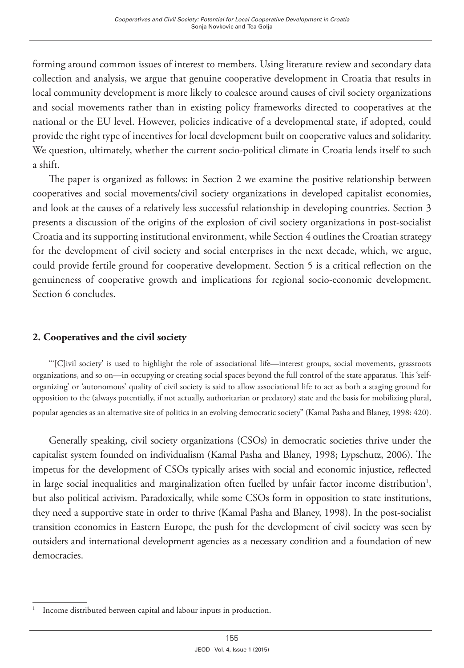forming around common issues of interest to members. Using literature review and secondary data collection and analysis, we argue that genuine cooperative development in Croatia that results in local community development is more likely to coalesce around causes of civil society organizations and social movements rather than in existing policy frameworks directed to cooperatives at the national or the EU level. However, policies indicative of a developmental state, if adopted, could provide the right type of incentives for local development built on cooperative values and solidarity. We question, ultimately, whether the current socio-political climate in Croatia lends itself to such a shift.

The paper is organized as follows: in Section 2 we examine the positive relationship between cooperatives and social movements/civil society organizations in developed capitalist economies, and look at the causes of a relatively less successful relationship in developing countries. Section 3 presents a discussion of the origins of the explosion of civil society organizations in post-socialist Croatia and its supporting institutional environment, while Section 4 outlines the Croatian strategy for the development of civil society and social enterprises in the next decade, which, we argue, could provide fertile ground for cooperative development. Section 5 is a critical reflection on the genuineness of cooperative growth and implications for regional socio-economic development. Section 6 concludes.

## **2. Cooperatives and the civil society**

"'[C]ivil society' is used to highlight the role of associational life—interest groups, social movements, grassroots organizations, and so on—in occupying or creating social spaces beyond the full control of the state apparatus. This 'selforganizing' or 'autonomous' quality of civil society is said to allow associational life to act as both a staging ground for opposition to the (always potentially, if not actually, authoritarian or predatory) state and the basis for mobilizing plural, popular agencies as an alternative site of politics in an evolving democratic society" (Kamal Pasha and Blaney, 1998: 420).

Generally speaking, civil society organizations (CSOs) in democratic societies thrive under the capitalist system founded on individualism (Kamal Pasha and Blaney, 1998; Lypschutz, 2006). The impetus for the development of CSOs typically arises with social and economic injustice, reflected in large social inequalities and marginalization often fuelled by unfair factor income distribution<sup>1</sup>, but also political activism. Paradoxically, while some CSOs form in opposition to state institutions, they need a supportive state in order to thrive (Kamal Pasha and Blaney, 1998). In the post-socialist transition economies in Eastern Europe, the push for the development of civil society was seen by outsiders and international development agencies as a necessary condition and a foundation of new democracies.

<sup>1</sup> Income distributed between capital and labour inputs in production.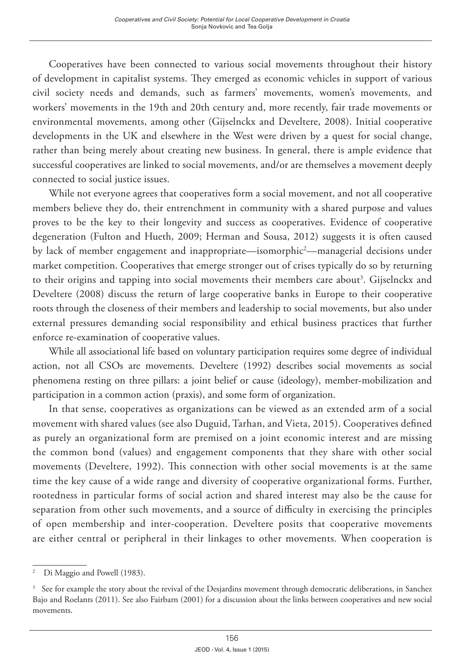Cooperatives have been connected to various social movements throughout their history of development in capitalist systems. They emerged as economic vehicles in support of various civil society needs and demands, such as farmers' movements, women's movements, and workers' movements in the 19th and 20th century and, more recently, fair trade movements or environmental movements, among other (Gijselnckx and Develtere, 2008). Initial cooperative developments in the UK and elsewhere in the West were driven by a quest for social change, rather than being merely about creating new business. In general, there is ample evidence that successful cooperatives are linked to social movements, and/or are themselves a movement deeply connected to social justice issues.

While not everyone agrees that cooperatives form a social movement, and not all cooperative members believe they do, their entrenchment in community with a shared purpose and values proves to be the key to their longevity and success as cooperatives. Evidence of cooperative degeneration (Fulton and Hueth, 2009; Herman and Sousa, 2012) suggests it is often caused by lack of member engagement and inappropriate—isomorphic<sup>2</sup>—managerial decisions under market competition. Cooperatives that emerge stronger out of crises typically do so by returning to their origins and tapping into social movements their members care about<sup>3</sup>. Gijselnckx and Develtere (2008) discuss the return of large cooperative banks in Europe to their cooperative roots through the closeness of their members and leadership to social movements, but also under external pressures demanding social responsibility and ethical business practices that further enforce re-examination of cooperative values.

While all associational life based on voluntary participation requires some degree of individual action, not all CSOs are movements. Develtere (1992) describes social movements as social phenomena resting on three pillars: a joint belief or cause (ideology), member-mobilization and participation in a common action (praxis), and some form of organization.

In that sense, cooperatives as organizations can be viewed as an extended arm of a social movement with shared values (see also Duguid, Tarhan, and Vieta, 2015). Cooperatives defined as purely an organizational form are premised on a joint economic interest and are missing the common bond (values) and engagement components that they share with other social movements (Develtere, 1992). This connection with other social movements is at the same time the key cause of a wide range and diversity of cooperative organizational forms. Further, rootedness in particular forms of social action and shared interest may also be the cause for separation from other such movements, and a source of difficulty in exercising the principles of open membership and inter-cooperation. Develtere posits that cooperative movements are either central or peripheral in their linkages to other movements. When cooperation is

<sup>2</sup> Di Maggio and Powell (1983).

<sup>3</sup> See for example the story about the revival of the Desjardins movement through democratic deliberations, in Sanchez Bajo and Roelants (2011). See also Fairbarn (2001) for a discussion about the links between cooperatives and new social movements.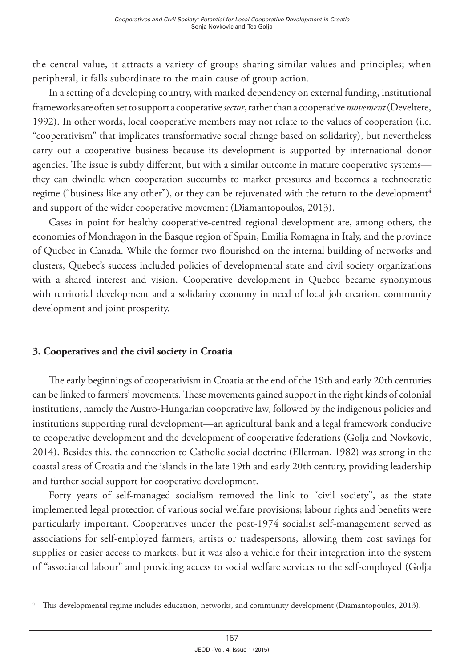the central value, it attracts a variety of groups sharing similar values and principles; when peripheral, it falls subordinate to the main cause of group action.

In a setting of a developing country, with marked dependency on external funding, institutional frameworks are often set to support a cooperative *sector*, rather than a cooperative *movement* (Develtere, 1992). In other words, local cooperative members may not relate to the values of cooperation (i.e. "cooperativism" that implicates transformative social change based on solidarity), but nevertheless carry out a cooperative business because its development is supported by international donor agencies. The issue is subtly different, but with a similar outcome in mature cooperative systems they can dwindle when cooperation succumbs to market pressures and becomes a technocratic regime ("business like any other"), or they can be rejuvenated with the return to the development<sup>4</sup> and support of the wider cooperative movement (Diamantopoulos, 2013).

Cases in point for healthy cooperative-centred regional development are, among others, the economies of Mondragon in the Basque region of Spain, Emilia Romagna in Italy, and the province of Quebec in Canada. While the former two flourished on the internal building of networks and clusters, Quebec's success included policies of developmental state and civil society organizations with a shared interest and vision. Cooperative development in Quebec became synonymous with territorial development and a solidarity economy in need of local job creation, community development and joint prosperity.

### **3. Cooperatives and the civil society in Croatia**

The early beginnings of cooperativism in Croatia at the end of the 19th and early 20th centuries can be linked to farmers' movements. These movements gained support in the right kinds of colonial institutions, namely the Austro-Hungarian cooperative law, followed by the indigenous policies and institutions supporting rural development—an agricultural bank and a legal framework conducive to cooperative development and the development of cooperative federations (Golja and Novkovic, 2014). Besides this, the connection to Catholic social doctrine (Ellerman, 1982) was strong in the coastal areas of Croatia and the islands in the late 19th and early 20th century, providing leadership and further social support for cooperative development.

Forty years of self-managed socialism removed the link to "civil society", as the state implemented legal protection of various social welfare provisions; labour rights and benefits were particularly important. Cooperatives under the post-1974 socialist self-management served as associations for self-employed farmers, artists or tradespersons, allowing them cost savings for supplies or easier access to markets, but it was also a vehicle for their integration into the system of "associated labour" and providing access to social welfare services to the self-employed (Golja

This developmental regime includes education, networks, and community development (Diamantopoulos, 2013).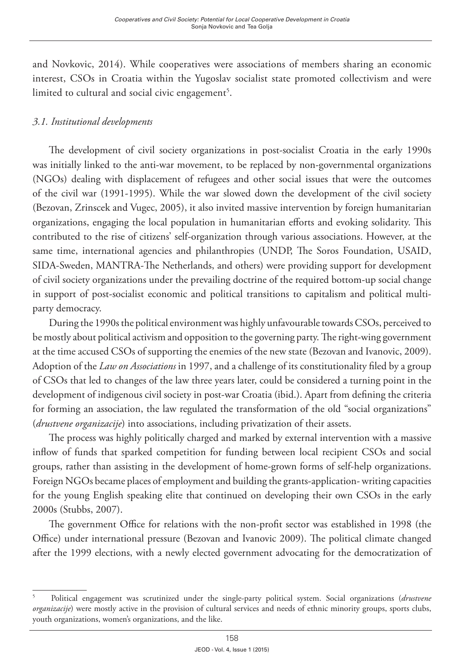and Novkovic, 2014). While cooperatives were associations of members sharing an economic interest, CSOs in Croatia within the Yugoslav socialist state promoted collectivism and were  $l$ imited to cultural and social civic engagement $^5\!$ .

# *3.1. Institutional developments*

The development of civil society organizations in post-socialist Croatia in the early 1990s was initially linked to the anti-war movement, to be replaced by non-governmental organizations (NGOs) dealing with displacement of refugees and other social issues that were the outcomes of the civil war (1991-1995). While the war slowed down the development of the civil society (Bezovan, Zrinscek and Vugec, 2005), it also invited massive intervention by foreign humanitarian organizations, engaging the local population in humanitarian efforts and evoking solidarity. This contributed to the rise of citizens' self-organization through various associations. However, at the same time, international agencies and philanthropies (UNDP, The Soros Foundation, USAID, SIDA-Sweden, MANTRA-The Netherlands, and others) were providing support for development of civil society organizations under the prevailing doctrine of the required bottom-up social change in support of post-socialist economic and political transitions to capitalism and political multiparty democracy.

During the 1990s the political environment was highly unfavourable towards CSOs, perceived to be mostly about political activism and opposition to the governing party. The right-wing government at the time accused CSOs of supporting the enemies of the new state (Bezovan and Ivanovic, 2009). Adoption of the *Law on Associations* in 1997, and a challenge of its constitutionality filed by a group of CSOs that led to changes of the law three years later, could be considered a turning point in the development of indigenous civil society in post-war Croatia (ibid.). Apart from defining the criteria for forming an association, the law regulated the transformation of the old "social organizations" (*drustvene organizacije*) into associations, including privatization of their assets.

The process was highly politically charged and marked by external intervention with a massive inflow of funds that sparked competition for funding between local recipient CSOs and social groups, rather than assisting in the development of home-grown forms of self-help organizations. Foreign NGOs became places of employment and building the grants-application- writing capacities for the young English speaking elite that continued on developing their own CSOs in the early 2000s (Stubbs, 2007).

The government Office for relations with the non-profit sector was established in 1998 (the Office) under international pressure (Bezovan and Ivanovic 2009). The political climate changed after the 1999 elections, with a newly elected government advocating for the democratization of

<sup>5</sup> Political engagement was scrutinized under the single-party political system. Social organizations (*drustvene organizacije*) were mostly active in the provision of cultural services and needs of ethnic minority groups, sports clubs, youth organizations, women's organizations, and the like.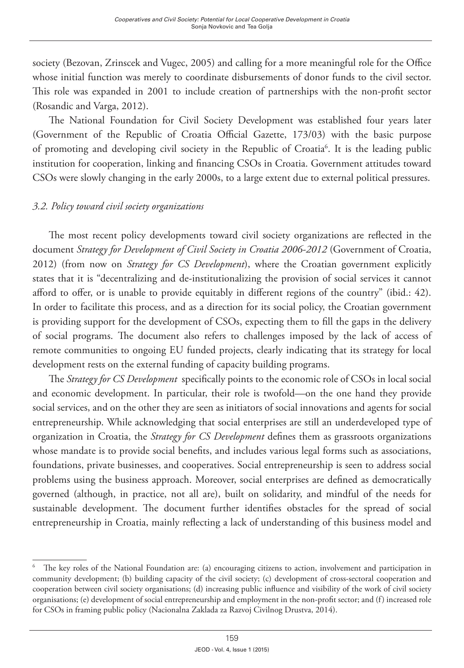society (Bezovan, Zrinscek and Vugec, 2005) and calling for a more meaningful role for the Office whose initial function was merely to coordinate disbursements of donor funds to the civil sector. This role was expanded in 2001 to include creation of partnerships with the non-profit sector (Rosandic and Varga, 2012).

The National Foundation for Civil Society Development was established four years later (Government of the Republic of Croatia Official Gazette, 173/03) with the basic purpose of promoting and developing civil society in the Republic of Croatia<sup>6</sup>. It is the leading public institution for cooperation, linking and financing CSOs in Croatia. Government attitudes toward CSOs were slowly changing in the early 2000s, to a large extent due to external political pressures.

# *3.2. Policy toward civil society organizations*

The most recent policy developments toward civil society organizations are reflected in the document *Strategy for Development of Civil Society in Croatia 2006-2012* (Government of Croatia, 2012) (from now on *Strategy for CS Development*), where the Croatian government explicitly states that it is "decentralizing and de-institutionalizing the provision of social services it cannot afford to offer, or is unable to provide equitably in different regions of the country" (ibid.: 42). In order to facilitate this process, and as a direction for its social policy, the Croatian government is providing support for the development of CSOs, expecting them to fill the gaps in the delivery of social programs. The document also refers to challenges imposed by the lack of access of remote communities to ongoing EU funded projects, clearly indicating that its strategy for local development rests on the external funding of capacity building programs.

The *Strategy for CS Development* specifically points to the economic role of CSOs in local social and economic development. In particular, their role is twofold—on the one hand they provide social services, and on the other they are seen as initiators of social innovations and agents for social entrepreneurship. While acknowledging that social enterprises are still an underdeveloped type of organization in Croatia, the *Strategy for CS Development* defines them as grassroots organizations whose mandate is to provide social benefits, and includes various legal forms such as associations, foundations, private businesses, and cooperatives. Social entrepreneurship is seen to address social problems using the business approach. Moreover, social enterprises are defined as democratically governed (although, in practice, not all are), built on solidarity, and mindful of the needs for sustainable development. The document further identifies obstacles for the spread of social entrepreneurship in Croatia, mainly reflecting a lack of understanding of this business model and

<sup>6</sup> The key roles of the National Foundation are: (a) encouraging citizens to action, involvement and participation in community development; (b) building capacity of the civil society; (c) development of cross-sectoral cooperation and cooperation between civil society organisations; (d) increasing public influence and visibility of the work of civil society organisations; (e) development of social entrepreneurship and employment in the non-profit sector; and (f) increased role for CSOs in framing public policy (Nacionalna Zaklada za Razvoj Civilnog Drustva, 2014).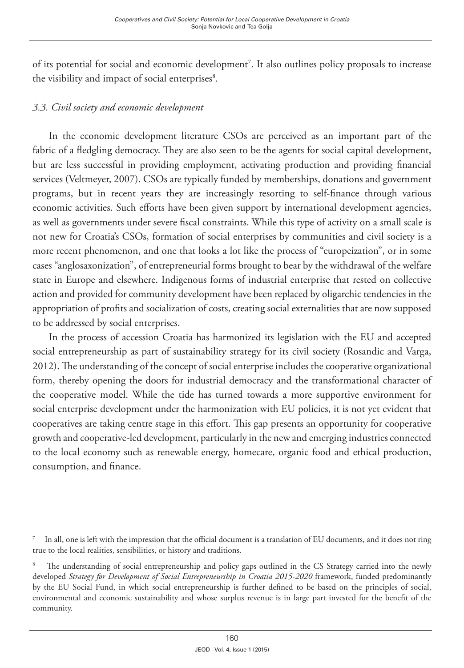of its potential for social and economic development<sup>7</sup>. It also outlines policy proposals to increase the visibility and impact of social enterprises<sup>8</sup>.

# *3.3. Civil society and economic development*

In the economic development literature CSOs are perceived as an important part of the fabric of a fledgling democracy. They are also seen to be the agents for social capital development, but are less successful in providing employment, activating production and providing financial services (Veltmeyer, 2007). CSOs are typically funded by memberships, donations and government programs, but in recent years they are increasingly resorting to self-finance through various economic activities. Such efforts have been given support by international development agencies, as well as governments under severe fiscal constraints. While this type of activity on a small scale is not new for Croatia's CSOs, formation of social enterprises by communities and civil society is a more recent phenomenon, and one that looks a lot like the process of "europeization", or in some cases "anglosaxonization", of entrepreneurial forms brought to bear by the withdrawal of the welfare state in Europe and elsewhere. Indigenous forms of industrial enterprise that rested on collective action and provided for community development have been replaced by oligarchic tendencies in the appropriation of profits and socialization of costs, creating social externalities that are now supposed to be addressed by social enterprises.

In the process of accession Croatia has harmonized its legislation with the EU and accepted social entrepreneurship as part of sustainability strategy for its civil society (Rosandic and Varga, 2012). The understanding of the concept of social enterprise includes the cooperative organizational form, thereby opening the doors for industrial democracy and the transformational character of the cooperative model. While the tide has turned towards a more supportive environment for social enterprise development under the harmonization with EU policies, it is not yet evident that cooperatives are taking centre stage in this effort. This gap presents an opportunity for cooperative growth and cooperative-led development, particularly in the new and emerging industries connected to the local economy such as renewable energy, homecare, organic food and ethical production, consumption, and finance.

<sup>7</sup> In all, one is left with the impression that the official document is a translation of EU documents, and it does not ring true to the local realities, sensibilities, or history and traditions.

<sup>8</sup> The understanding of social entrepreneurship and policy gaps outlined in the CS Strategy carried into the newly developed *Strategy for Development of Social Entrepreneurship in Croatia 2015-2020* framework, funded predominantly by the EU Social Fund, in which social entrepreneurship is further defined to be based on the principles of social, environmental and economic sustainability and whose surplus revenue is in large part invested for the benefit of the community.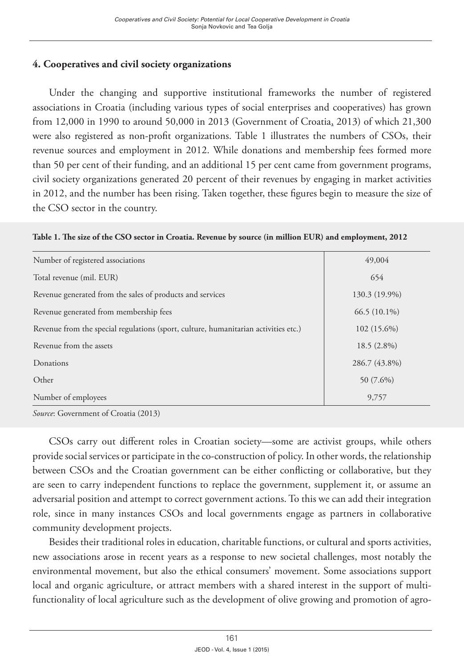# **4. Cooperatives and civil society organizations**

Under the changing and supportive institutional frameworks the number of registered associations in Croatia (including various types of social enterprises and cooperatives) has grown from 12,000 in 1990 to around 50,000 in 2013 ([Government of Croatia,](http://www.uzuvrh.hr/) 2013) of which 21,300 were also registered as non-profit organizations. Table 1 illustrates the numbers of CSOs, their revenue sources and employment in 2012. While donations and membership fees formed more than 50 per cent of their funding, and an additional 15 per cent came from government programs, civil society organizations generated 20 percent of their revenues by engaging in market activities in 2012, and the number has been rising. Taken together, these figures begin to measure the size of the CSO sector in the country.

|  |  | Table 1. The size of the CSO sector in Croatia. Revenue by source (in million EUR) and employment, 2012 |
|--|--|---------------------------------------------------------------------------------------------------------|
|  |  |                                                                                                         |

| Number of registered associations                                                   | 49,004         |
|-------------------------------------------------------------------------------------|----------------|
| Total revenue (mil. EUR)                                                            | 654            |
| Revenue generated from the sales of products and services                           | 130.3 (19.9%)  |
| Revenue generated from membership fees                                              | $66.5(10.1\%)$ |
| Revenue from the special regulations (sport, culture, humanitarian activities etc.) | $102(15.6\%)$  |
| Revenue from the assets                                                             | $18.5(2.8\%)$  |
| Donations                                                                           | 286.7 (43.8%)  |
| Other                                                                               | 50 (7.6%)      |
| Number of employees                                                                 | 9,757          |
|                                                                                     |                |

*Source*: Government of Croatia (2013)

CSOs carry out different roles in Croatian society—some are activist groups, while others provide social services or participate in the co-construction of policy. In other words, the relationship between CSOs and the Croatian government can be either conflicting or collaborative, but they are seen to carry independent functions to replace the government, supplement it, or assume an adversarial position and attempt to correct government actions. To this we can add their integration role, since in many instances CSOs and local governments engage as partners in collaborative community development projects.

Besides their traditional roles in education, charitable functions, or cultural and sports activities, new associations arose in recent years as a response to new societal challenges, most notably the environmental movement, but also the ethical consumers' movement. Some associations support local and organic agriculture, or attract members with a shared interest in the support of multifunctionality of local agriculture such as the development of olive growing and promotion of agro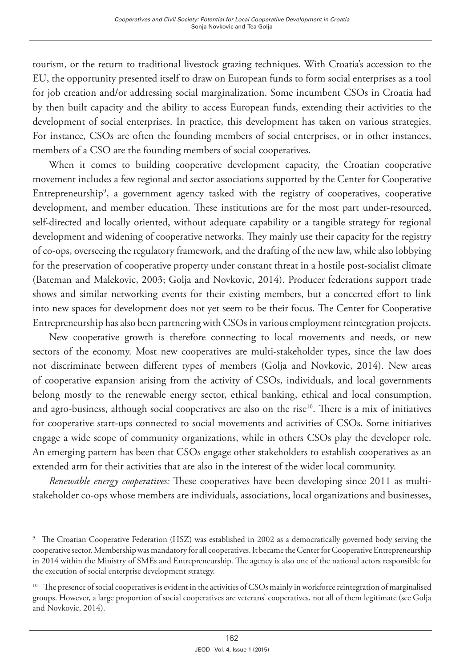tourism, or the return to traditional livestock grazing techniques. With Croatia's accession to the EU, the opportunity presented itself to draw on European funds to form social enterprises as a tool for job creation and/or addressing social marginalization. Some incumbent CSOs in Croatia had by then built capacity and the ability to access European funds, extending their activities to the development of social enterprises. In practice, this development has taken on various strategies. For instance, CSOs are often the founding members of social enterprises, or in other instances, members of a CSO are the founding members of social cooperatives.

When it comes to building cooperative development capacity, the Croatian cooperative movement includes a few regional and sector associations supported by the Center for Cooperative Entrepreneurship9 , a government agency tasked with the registry of cooperatives, cooperative development, and member education. These institutions are for the most part under-resourced, self-directed and locally oriented, without adequate capability or a tangible strategy for regional development and widening of cooperative networks. They mainly use their capacity for the registry of co-ops, overseeing the regulatory framework, and the drafting of the new law, while also lobbying for the preservation of cooperative property under constant threat in a hostile post-socialist climate (Bateman and Malekovic, 2003; Golja and Novkovic, 2014). Producer federations support trade shows and similar networking events for their existing members, but a concerted effort to link into new spaces for development does not yet seem to be their focus. The Center for Cooperative Entrepreneurship has also been partnering with CSOs in various employment reintegration projects.

New cooperative growth is therefore connecting to local movements and needs, or new sectors of the economy. Most new cooperatives are multi-stakeholder types, since the law does not discriminate between different types of members (Golja and Novkovic, 2014). New areas of cooperative expansion arising from the activity of CSOs, individuals, and local governments belong mostly to the renewable energy sector, ethical banking, ethical and local consumption, and agro-business, although social cooperatives are also on the rise<sup>10</sup>. There is a mix of initiatives for cooperative start-ups connected to social movements and activities of CSOs. Some initiatives engage a wide scope of community organizations, while in others CSOs play the developer role. An emerging pattern has been that CSOs engage other stakeholders to establish cooperatives as an extended arm for their activities that are also in the interest of the wider local community.

*Renewable energy cooperatives:* These cooperatives have been developing since 2011 as multistakeholder co-ops whose members are individuals, associations, local organizations and businesses,

<sup>&</sup>lt;sup>9</sup> The Croatian Cooperative Federation (HSZ) was established in 2002 as a democratically governed body serving the cooperative sector. Membership was mandatory for all cooperatives. It became the Center for Cooperative Entrepreneurship in 2014 within the Ministry of SMEs and Entrepreneurship. The agency is also one of the national actors responsible for the execution of social enterprise development strategy.

<sup>&</sup>lt;sup>10</sup> The presence of social cooperatives is evident in the activities of CSOs mainly in workforce reintegration of marginalised groups. However, a large proportion of social cooperatives are veterans' cooperatives, not all of them legitimate (see Golja and Novkovic, 2014).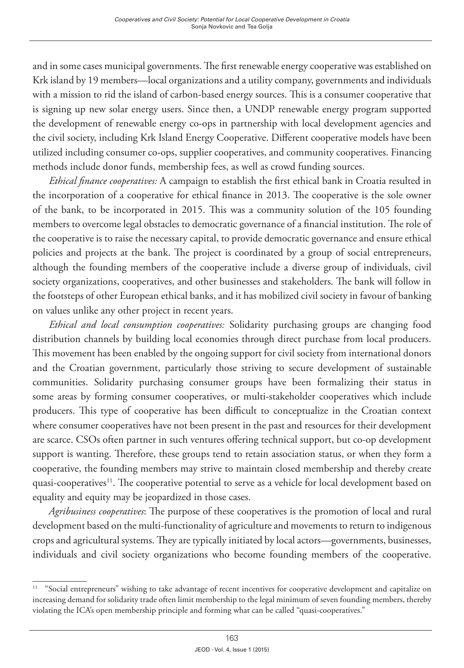and in some cases municipal governments. The first renewable energy cooperative was established on Krk island by 19 members—local organizations and a utility company, governments and individuals with a mission to rid the island of carbon-based energy sources. This is a consumer cooperative that is signing up new solar energy users. Since then, a UNDP renewable energy program supported the development of renewable energy co-ops in partnership with local development agencies and the civil society, including Krk Island Energy Cooperative. Different cooperative models have been utilized including consumer co-ops, supplier cooperatives, and community cooperatives. Financing methods include donor funds, membership fees, as well as crowd funding sources.

*Ethical finance cooperatives:* A campaign to establish the first ethical bank in Croatia resulted in the incorporation of a cooperative for ethical finance in 2013. The cooperative is the sole owner of the bank, to be incorporated in 2015. This was a community solution of the 105 founding members to overcome legal obstacles to democratic governance of a financial institution. The role of the cooperative is to raise the necessary capital, to provide democratic governance and ensure ethical policies and projects at the bank. The project is coordinated by a group of social entrepreneurs, although the founding members of the cooperative include a diverse group of individuals, civil society organizations, cooperatives, and other businesses and stakeholders. The bank will follow in the footsteps of other European ethical banks, and it has mobilized civil society in favour of banking on values unlike any other project in recent years.

*Ethical and local consumption cooperatives:* Solidarity purchasing groups are changing food distribution channels by building local economies through direct purchase from local producers. This movement has been enabled by the ongoing support for civil society from international donors and the Croatian government, particularly those striving to secure development of sustainable communities. Solidarity purchasing consumer groups have been formalizing their status in some areas by forming consumer cooperatives, or multi-stakeholder cooperatives which include producers. This type of cooperative has been difficult to conceptualize in the Croatian context where consumer cooperatives have not been present in the past and resources for their development are scarce. CSOs often partner in such ventures offering technical support, but co-op development support is wanting. Therefore, these groups tend to retain association status, or when they form a cooperative, the founding members may strive to maintain closed membership and thereby create quasi-cooperatives<sup>11</sup>. The cooperative potential to serve as a vehicle for local development based on equality and equity may be jeopardized in those cases.

*Agribusiness cooperatives*: The purpose of these cooperatives is the promotion of local and rural development based on the multi-functionality of agriculture and movements to return to indigenous crops and agricultural systems. They are typically initiated by local actors—governments, businesses, individuals and civil society organizations who become founding members of the cooperative.

<sup>&</sup>lt;sup>11</sup> "Social entrepreneurs" wishing to take advantage of recent incentives for cooperative development and capitalize on increasing demand for solidarity trade often limit membership to the legal minimum of seven founding members, thereby violating the ICA's open membership principle and forming what can be called "quasi-cooperatives."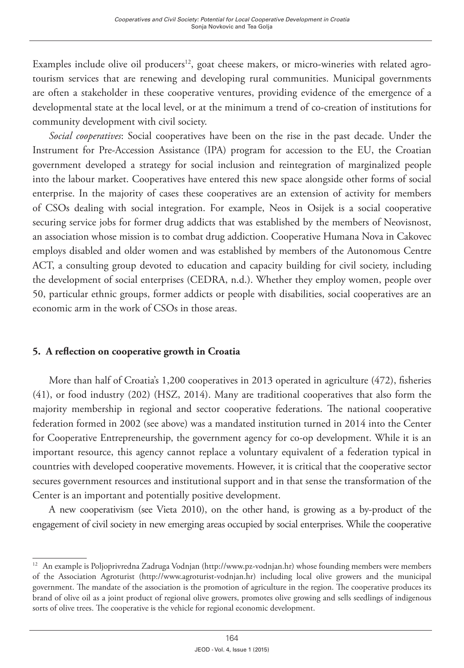Examples include olive oil producers<sup>12</sup>, goat cheese makers, or micro-wineries with related agrotourism services that are renewing and developing rural communities. Municipal governments are often a stakeholder in these cooperative ventures, providing evidence of the emergence of a developmental state at the local level, or at the minimum a trend of co-creation of institutions for community development with civil society.

*Social cooperatives*: Social cooperatives have been on the rise in the past decade. Under the Instrument for Pre-Accession Assistance (IPA) program for accession to the EU, the Croatian government developed a strategy for social inclusion and reintegration of marginalized people into the labour market. Cooperatives have entered this new space alongside other forms of social enterprise. In the majority of cases these cooperatives are an extension of activity for members of CSOs dealing with social integration. For example, Neos in Osijek is a social cooperative securing service jobs for former drug addicts that was established by the members of Neovisnost, an association whose mission is to combat drug addiction. Cooperative Humana Nova in Cakovec employs disabled and older women and was established by members of the Autonomous Centre ACT, a consulting group devoted to education and capacity building for civil society, including the development of social enterprises (CEDRA, n.d.). Whether they employ women, people over 50, particular ethnic groups, former addicts or people with disabilities, social cooperatives are an economic arm in the work of CSOs in those areas.

### **5. A reflection on cooperative growth in Croatia**

More than half of Croatia's 1,200 cooperatives in 2013 operated in agriculture (472), fisheries (41), or food industry (202) (HSZ, 2014). Many are traditional cooperatives that also form the majority membership in regional and sector cooperative federations. The national cooperative federation formed in 2002 (see above) was a mandated institution turned in 2014 into the Center for Cooperative Entrepreneurship, the government agency for co-op development. While it is an important resource, this agency cannot replace a voluntary equivalent of a federation typical in countries with developed cooperative movements. However, it is critical that the cooperative sector secures government resources and institutional support and in that sense the transformation of the Center is an important and potentially positive development.

A new cooperativism (see Vieta 2010), on the other hand, is growing as a by-product of the engagement of civil society in new emerging areas occupied by social enterprises. While the cooperative

<sup>12</sup> An example is Poljoprivredna Zadruga Vodnjan (http://www.pz-vodnjan.hr) whose founding members were members of the Association Agroturist (http://www.agroturist-vodnjan.hr) including local olive growers and the municipal government. The mandate of the association is the promotion of agriculture in the region. The cooperative produces its brand of olive oil as a joint product of regional olive growers, promotes olive growing and sells seedlings of indigenous sorts of olive trees. The cooperative is the vehicle for regional economic development.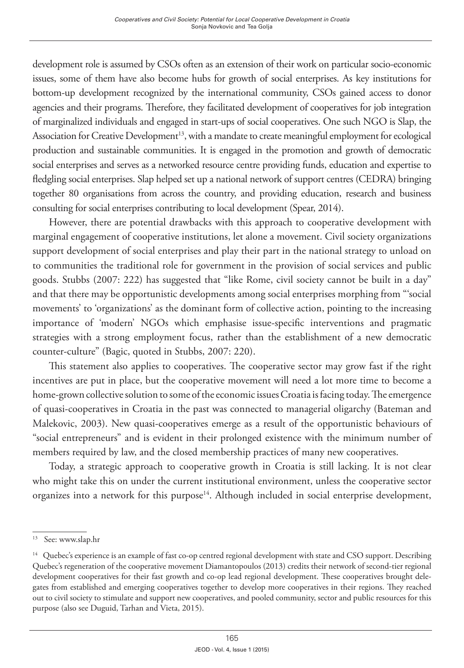development role is assumed by CSOs often as an extension of their work on particular socio-economic issues, some of them have also become hubs for growth of social enterprises. As key institutions for bottom-up development recognized by the international community, CSOs gained access to donor agencies and their programs. Therefore, they facilitated development of cooperatives for job integration of marginalized individuals and engaged in start-ups of social cooperatives. One such NGO is Slap, the Association for Creative Development<sup>13</sup>, with a mandate to create meaningful employment for ecological production and sustainable communities. It is engaged in the promotion and growth of democratic social enterprises and serves as a networked resource centre providing funds, education and expertise to fledgling social enterprises. Slap helped set up a national network of support centres (CEDRA) bringing together 80 organisations from across the country, and providing education, research and business consulting for social enterprises contributing to local development (Spear, 2014).

However, there are potential drawbacks with this approach to cooperative development with marginal engagement of cooperative institutions, let alone a movement. Civil society organizations support development of social enterprises and play their part in the national strategy to unload on to communities the traditional role for government in the provision of social services and public goods. Stubbs (2007: 222) has suggested that "like Rome, civil society cannot be built in a day" and that there may be opportunistic developments among social enterprises morphing from "'social movements' to 'organizations' as the dominant form of collective action, pointing to the increasing importance of 'modern' NGOs which emphasise issue-specific interventions and pragmatic strategies with a strong employment focus, rather than the establishment of a new democratic counter-culture" (Bagic, quoted in Stubbs, 2007: 220).

This statement also applies to cooperatives. The cooperative sector may grow fast if the right incentives are put in place, but the cooperative movement will need a lot more time to become a home-grown collective solution to some of the economic issues Croatia is facing today. The emergence of quasi-cooperatives in Croatia in the past was connected to managerial oligarchy (Bateman and Malekovic, 2003). New quasi-cooperatives emerge as a result of the opportunistic behaviours of "social entrepreneurs" and is evident in their prolonged existence with the minimum number of members required by law, and the closed membership practices of many new cooperatives.

Today, a strategic approach to cooperative growth in Croatia is still lacking. It is not clear who might take this on under the current institutional environment, unless the cooperative sector organizes into a network for this purpose<sup>14</sup>. Although included in social enterprise development,

<sup>13</sup> See: [www.slap.hr](http://www.slap.hr/)

<sup>&</sup>lt;sup>14</sup> Quebec's experience is an example of fast co-op centred regional development with state and CSO support. Describing Quebec's regeneration of the cooperative movement Diamantopoulos (2013) credits their network of second-tier regional development cooperatives for their fast growth and co-op lead regional development. These cooperatives brought delegates from established and emerging cooperatives together to develop more cooperatives in their regions. They reached out to civil society to stimulate and support new cooperatives, and pooled community, sector and public resources for this purpose (also see Duguid, Tarhan and Vieta, 2015).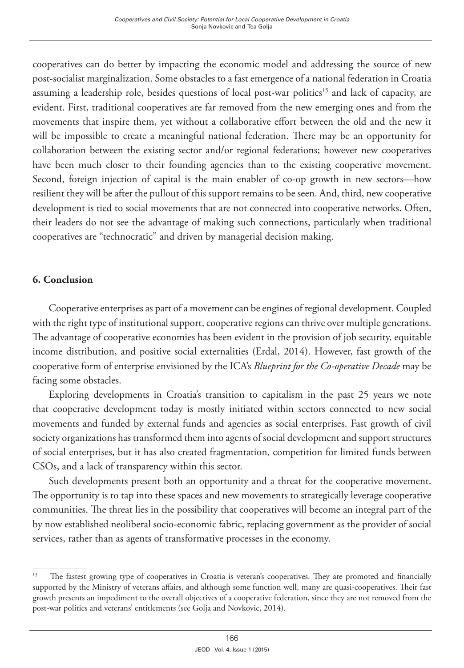cooperatives can do better by impacting the economic model and addressing the source of new post-socialist marginalization. Some obstacles to a fast emergence of a national federation in Croatia assuming a leadership role, besides questions of local post-war politics<sup>15</sup> and lack of capacity, are evident. First, traditional cooperatives are far removed from the new emerging ones and from the movements that inspire them, yet without a collaborative effort between the old and the new it will be impossible to create a meaningful national federation. There may be an opportunity for collaboration between the existing sector and/or regional federations; however new cooperatives have been much closer to their founding agencies than to the existing cooperative movement. Second, foreign injection of capital is the main enabler of co-op growth in new sectors—how resilient they will be after the pullout of this support remains to be seen. And, third, new cooperative development is tied to social movements that are not connected into cooperative networks. Often, their leaders do not see the advantage of making such connections, particularly when traditional cooperatives are "technocratic" and driven by managerial decision making.

### **6. Conclusion**

Cooperative enterprises as part of a movement can be engines of regional development. Coupled with the right type of institutional support, cooperative regions can thrive over multiple generations. The advantage of cooperative economies has been evident in the provision of job security, equitable income distribution, and positive social externalities (Erdal, 2014). However, fast growth of the cooperative form of enterprise envisioned by the ICA's *Blueprint for the Co-operative Decade* may be facing some obstacles.

Exploring developments in Croatia's transition to capitalism in the past 25 years we note that cooperative development today is mostly initiated within sectors connected to new social movements and funded by external funds and agencies as social enterprises. Fast growth of civil society organizations has transformed them into agents of social development and support structures of social enterprises, but it has also created fragmentation, competition for limited funds between CSOs, and a lack of transparency within this sector.

Such developments present both an opportunity and a threat for the cooperative movement. The opportunity is to tap into these spaces and new movements to strategically leverage cooperative communities. The threat lies in the possibility that cooperatives will become an integral part of the by now established neoliberal socio-economic fabric, replacing government as the provider of social services, rather than as agents of transformative processes in the economy.

<sup>&</sup>lt;sup>15</sup> The fastest growing type of cooperatives in Croatia is veteran's cooperatives. They are promoted and financially supported by the Ministry of veterans affairs, and although some function well, many are quasi-cooperatives. Their fast growth presents an impediment to the overall objectives of a cooperative federation, since they are not removed from the post-war politics and veterans' entitlements (see Golja and Novkovic, 2014).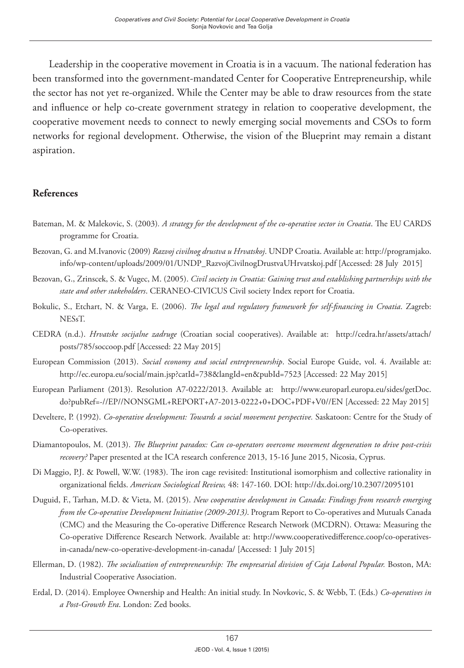Leadership in the cooperative movement in Croatia is in a vacuum. The national federation has been transformed into the government-mandated Center for Cooperative Entrepreneurship, while the sector has not yet re-organized. While the Center may be able to draw resources from the state and influence or help co-create government strategy in relation to cooperative development, the cooperative movement needs to connect to newly emerging social movements and CSOs to form networks for regional development. Otherwise, the vision of the Blueprint may remain a distant aspiration.

#### **References**

- Bateman, M. & Malekovic, S. (2003)*. A strategy for the development of the co-operative sector in Croatia*. The EU CARDS programme for Croatia.
- Bezovan, G. and M.Ivanovic (2009) *Razvoj civilnog drustva u Hrvatskoj*. UNDP Croatia. Available at: http://programjako. info/wp-content/uploads/2009/01/UNDP\_RazvojCivilnogDrustvaUHrvatskoj.pdf [Accessed: 28 July 2015]
- Bezovan, G., Zrinscek, S. & Vugec, M. (2005). *Civil society in Croatia: Gaining trust and establishing partnerships with the state and other stakeholders*. CERANEO-CIVICUS Civil society Index report for Croatia.
- Bokulic, S., Etchart, N. & Varga, E. (2006). *The legal and regulatory framework for self-financing in Croatia*. Zagreb: NESsT.
- CEDRA (n.d.). *Hrvatske socijalne zadruge* (Croatian social cooperatives). Available at: [http://cedra.hr/assets/attach/](http://cedra.hr/assets/attach/posts/785/soccoop.pdf) [posts/785/soccoop.pdf](http://cedra.hr/assets/attach/posts/785/soccoop.pdf) [Accessed: 22 May 2015]
- European Commission (2013). *Social economy and social entrepreneurship*. Social Europe Guide, vol. 4. Available at: <http://ec.europa.eu/social/main.jsp?catId=738&langId=en&pubId=7523>[Accessed: 22 May 2015]
- European Parliament (2013). Resolution A7-0222/2013. Available at: [http://www.europarl.europa.eu/sides/getDoc.](http://www.europarl.europa.eu/sides/getDoc.do?pubRef=-//EP//NONSGML+REPORT+A7-2013-0222+0+DOC+PDF+V0//EN) [do?pubRef=-//EP//NONSGML+REPORT+A7-2013-0222+0+DOC+PDF+V0//EN](http://www.europarl.europa.eu/sides/getDoc.do?pubRef=-//EP//NONSGML+REPORT+A7-2013-0222+0+DOC+PDF+V0//EN) [Accessed: 22 May 2015]
- Develtere, P. (1992). *Co-operative development: Towards a social movement perspective.* Saskatoon: Centre for the Study of Co-operatives.
- Diamantopoulos, M. (2013). *The Blueprint paradox: Can co-operators overcome movement degeneration to drive post-crisis recovery?* Paper presented at the ICA research conference 2013, 15-16 June 2015, Nicosia, Cyprus.
- Di Maggio, P.J. & Powell, W.W. (1983). The iron cage revisited: Institutional isomorphism and collective rationality in organizational fields. *American Sociological Review,* 48: 147-160. DOI: <http://dx.doi.org/10.2307/2095101>
- Duguid, F., Tarhan, M.D. & Vieta, M. (2015). *New cooperative development in Canada: Findings from research emerging from the Co-operative Development Initiative (2009-2013)*. Program Report to Co-operatives and Mutuals Canada (CMC) and the Measuring the Co-operative Difference Research Network (MCDRN). Ottawa: Measuring the Co-operative Difference Research Network. Available at: http://www.cooperativedifference.coop/co-operativesin-canada/new-co-operative-development-in-canada/ [Accessed: 1 July 2015]
- Ellerman, D. (1982). *The socialisation of entrepreneurship: The empresarial division of Caja Laboral Popular.* Boston, MA: Industrial Cooperative Association.
- Erdal, D. (2014). Employee Ownership and Health: An initial study. In Novkovic, S. & Webb, T. (Eds.) *Co-operatives in a Post-Growth Era*. London: Zed books.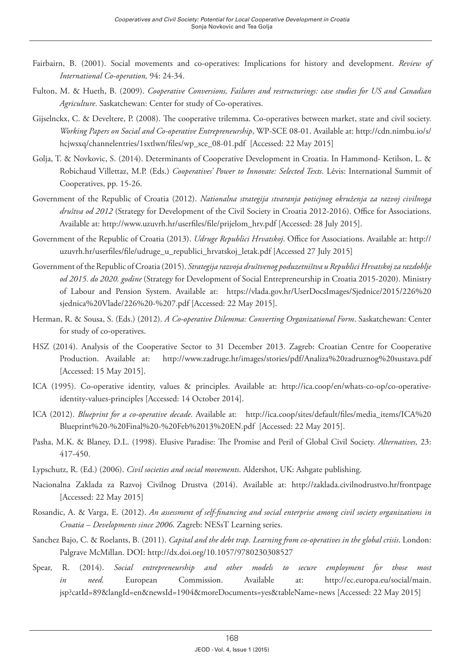- Fairbairn, B. (2001). Social movements and co-operatives: Implications for history and development. *Review of International Co-operation,* 94: 24-34.
- Fulton, M. & Hueth, B. (2009). *Cooperative Conversions, Failures and restructurings: case studies for US and Canadian Agriculture*. Saskatchewan: Center for study of Co-operatives.
- Gijselnckx, C. & Develtere, P. (2008). The cooperative trilemma. Co-operatives between market, state and civil society. *Working Papers on Social and Co-operative Entrepreneurship*, WP-SCE 08-01. Available at: [http://cdn.nimbu.io/s/](http://cdn.nimbu.io/s/hcjwsxq/channelentries/1sxtlwn/files/wp_sce_08-01.pdf) [hcjwsxq/channelentries/1sxtlwn/files/wp\\_sce\\_08-01.pdf](http://cdn.nimbu.io/s/hcjwsxq/channelentries/1sxtlwn/files/wp_sce_08-01.pdf) [Accessed: 22 May 2015]
- Golja, T. & Novkovic, S. (2014). Determinants of Cooperative Development in Croatia. In Hammond- Ketilson, L. & Robichaud Villettaz, M.P. (Eds.) *Cooperatives' Power to Innovate: Selected Texts*. Lévis: International Summit of Cooperatives, pp. 15-26.
- Government of the Republic of Croatia (2012). *Nationalna strategija stvaranja poticjnog okruženja za razvoj civilnoga društva od 2012* (Strategy for Development of the Civil Society in Croatia 2012-2016). Office for Associations. Available at: http://www.uzuvrh.hr/userfiles/file/prijelom\_hrv.pdf [Accessed: 28 July 2015].
- Government of the Republic of Croatia (2013). *Udruge Republici Hrvatskoj*. Office for Associations. Available at: [http://](http://uzuvrh.hr/userfiles/file/udruge_u_republici_hrvatskoj_letak.pdf) [uzuvrh.hr/userfiles/file/udruge\\_u\\_republici\\_hrvatskoj\\_letak.pdf](http://uzuvrh.hr/userfiles/file/udruge_u_republici_hrvatskoj_letak.pdf) [Accessed 27 July 2015]
- Government of the Republic of Croatia (2015). *Strategija razvoja društvenog poduzetništva u Republici Hrvatskoj za razdoblje od 2015. do 2020. godine* (Strategy for Development of Social Entrepreneurship in Croatia 2015-2020). Ministry of Labour and Pension System. Available at: [https://vlada.gov.hr/UserDocsImages/Sjednice/2015/226%20](https://vlada.gov.hr/UserDocsImages/Sjednice/2015/226 sjednica Vlade/226 - 7.pdf) [sjednica%20Vlade/226%20-%207.pdf](https://vlada.gov.hr/UserDocsImages/Sjednice/2015/226 sjednica Vlade/226 - 7.pdf) [Accessed: 22 May 2015].
- Herman, R. & Sousa, S. (Eds.) (2012). *A Co-operative Dilemma: Converting Organizational Form*. Saskatchewan: Center for study of co-operatives.
- HSZ (2014). Analysis of the Cooperative Sector to 31 December 2013. Zagreb: Croatian Centre for Cooperative Production. Available at: [http://www.zadruge.hr/images/stories/pdf/Analiza%20zadruznog%20sustava.pdf](http://www.zadruge.hr/images/stories/pdf/Analiza zadruznog sustava.pdf) [Accessed: 15 May 2015].
- ICA (1995). Co-operative identity, values & principles. Available at: [http://ica.coop/en/whats-co-op/co-operative](http://ica.coop/en/whats-co-op/co-operative-identity-values-principles)[identity-values-principles](http://ica.coop/en/whats-co-op/co-operative-identity-values-principles) [Accessed: 14 October 2014].
- ICA (2012). *Blueprint for a co-operative decade*. Available at: [http://ica.coop/sites/default/files/media\\_items/ICA%20](http://ica.coop/sites/default/files/media_items/ICA Blueprint  Final  Feb 13 EN.pdf) [Blueprint%20-%20Final%20-%20Feb%2013%20EN.pdf](http://ica.coop/sites/default/files/media_items/ICA Blueprint - Final - Feb 13 EN.pdf) [Accessed: 22 May 2015].
- Pasha, M.K. & Blaney, D.L. (1998). Elusive Paradise: The Promise and Peril of Global Civil Society. *Alternatives,* 23: 417-450.
- Lypschutz, R. (Ed.) (2006). *Civil societies and social movements*. Aldershot, UK: Ashgate publishing.
- Nacionalna Zaklada za Razvoj Civilnog Drustva (2014). Available at: <http://zaklada.civilnodrustvo.hr/frontpage> [Accessed: 22 May 2015]
- Rosandic, A. & Varga, E. (2012). *An assessment of self-financing and social enterprise among civil society organizations in Croatia – Developments since 2006*. Zagreb: NESsT Learning series.
- Sanchez Bajo, C. & Roelants, B. (2011). *Capital and the debt trap. Learning from co-operatives in the global crisis*. London: Palgrave McMillan. DOI:<http://dx.doi.org/10.1057/9780230308527>
- Spear, R. (2014). *Social entrepreneurship and other models to secure employment for those most in need.* European Commission. Available at: http://ec.europa.eu/social/main. jsp?catId=89&langId=en&newsId=1904&moreDocuments=yes&tableName=news [Accessed: 22 May 2015]